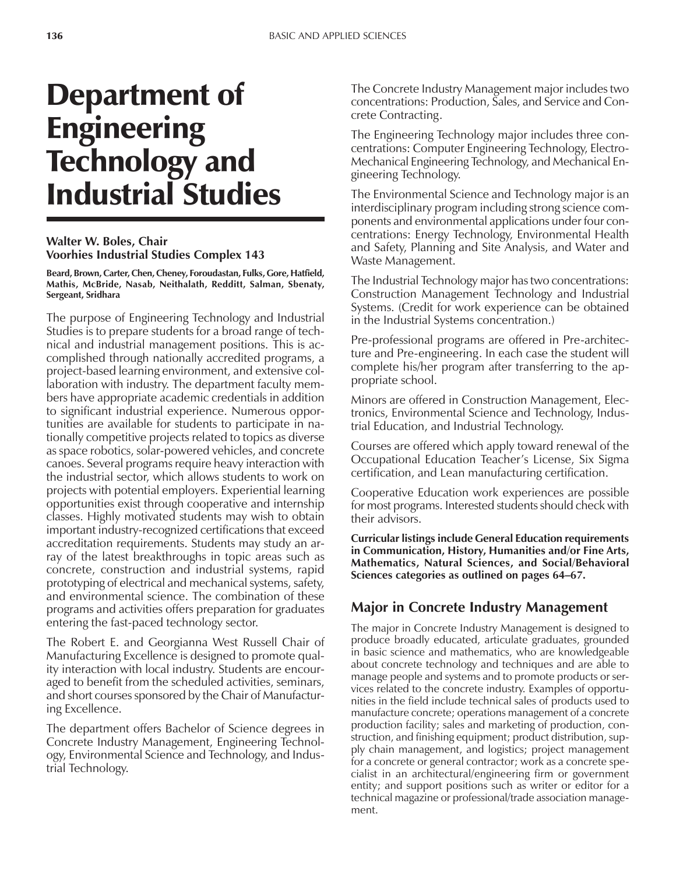# Department of Engineering Technology and Industrial Studies

## **Walter W. Boles, Chair Voorhies Industrial Studies Complex 143**

**Beard, Brown, Carter, Chen, Cheney, Foroudastan, Fulks, Gore, Hatfield, Mathis, McBride, Nasab, Neithalath, Redditt, Salman, Sbenaty, Sergeant, Sridhara**

The purpose of Engineering Technology and Industrial Studies is to prepare students for a broad range of technical and industrial management positions. This is accomplished through nationally accredited programs, a project-based learning environment, and extensive collaboration with industry. The department faculty members have appropriate academic credentials in addition to significant industrial experience. Numerous opportunities are available for students to participate in nationally competitive projects related to topics as diverse as space robotics, solar-powered vehicles, and concrete canoes. Several programs require heavy interaction with the industrial sector, which allows students to work on projects with potential employers. Experiential learning opportunities exist through cooperative and internship classes. Highly motivated students may wish to obtain important industry-recognized certifications that exceed accreditation requirements. Students may study an array of the latest breakthroughs in topic areas such as concrete, construction and industrial systems, rapid prototyping of electrical and mechanical systems, safety, and environmental science. The combination of these programs and activities offers preparation for graduates entering the fast-paced technology sector.

The Robert E. and Georgianna West Russell Chair of Manufacturing Excellence is designed to promote quality interaction with local industry. Students are encouraged to benefit from the scheduled activities, seminars, and short courses sponsored by the Chair of Manufacturing Excellence.

The department offers Bachelor of Science degrees in Concrete Industry Management, Engineering Technology, Environmental Science and Technology, and Industrial Technology.

The Concrete Industry Management major includes two concentrations: Production, Sales, and Service and Concrete Contracting.

The Engineering Technology major includes three concentrations: Computer Engineering Technology, Electro-Mechanical Engineering Technology, and Mechanical Engineering Technology.

The Environmental Science and Technology major is an interdisciplinary program including strong science components and environmental applications under four concentrations: Energy Technology, Environmental Health and Safety, Planning and Site Analysis, and Water and Waste Management.

The Industrial Technology major has two concentrations: Construction Management Technology and Industrial Systems. (Credit for work experience can be obtained in the Industrial Systems concentration.)

Pre-professional programs are offered in Pre-architecture and Pre-engineering. In each case the student will complete his/her program after transferring to the appropriate school.

Minors are offered in Construction Management, Electronics, Environmental Science and Technology, Industrial Education, and Industrial Technology.

Courses are offered which apply toward renewal of the Occupational Education Teacherís License, Six Sigma certification, and Lean manufacturing certification.

Cooperative Education work experiences are possible for most programs. Interested students should check with their advisors.

**Curricular listings include General Education requirements in Communication, History, Humanities and/or Fine Arts, Mathematics, Natural Sciences, and Social/Behavioral** Sciences categories as outlined on pages 64–67.

# **Major in Concrete Industry Management**

The major in Concrete Industry Management is designed to produce broadly educated, articulate graduates, grounded in basic science and mathematics, who are knowledgeable about concrete technology and techniques and are able to manage people and systems and to promote products or services related to the concrete industry. Examples of opportunities in the field include technical sales of products used to manufacture concrete; operations management of a concrete production facility; sales and marketing of production, construction, and finishing equipment; product distribution, supply chain management, and logistics; project management for a concrete or general contractor; work as a concrete specialist in an architectural/engineering firm or government entity; and support positions such as writer or editor for a technical magazine or professional/trade association management.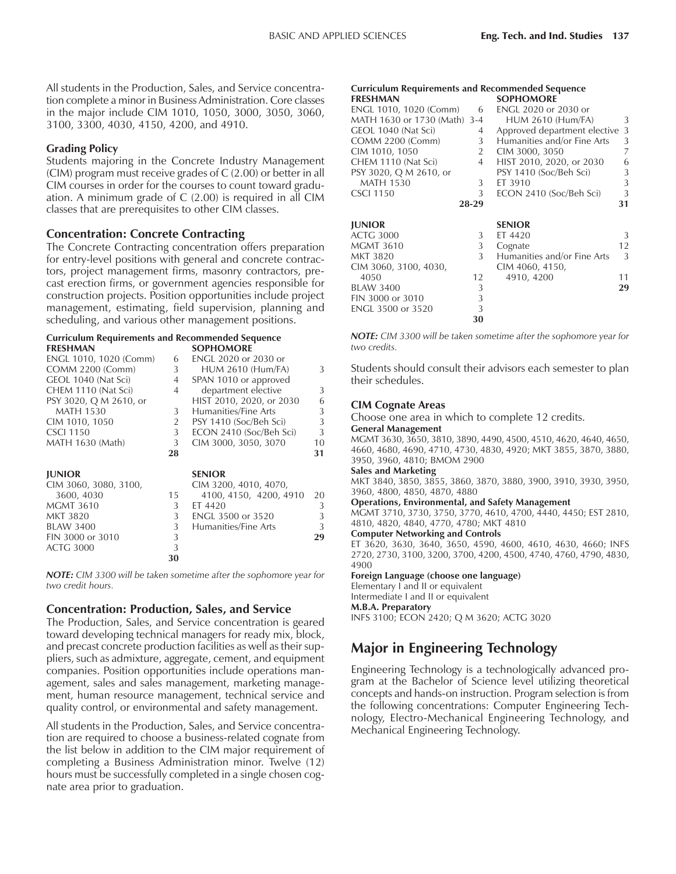All students in the Production, Sales, and Service concentration complete a minor in Business Administration. Core classes in the major include CIM 1010, 1050, 3000, 3050, 3060, 3100, 3300, 4030, 4150, 4200, and 4910.

#### **Grading Policy**

Students majoring in the Concrete Industry Management (CIM) program must receive grades of C (2.00) or better in all CIM courses in order for the courses to count toward graduation. A minimum grade of C (2.00) is required in all CIM classes that are prerequisites to other CIM classes.

## **Concentration: Concrete Contracting**

The Concrete Contracting concentration offers preparation for entry-level positions with general and concrete contractors, project management firms, masonry contractors, precast erection firms, or government agencies responsible for construction projects. Position opportunities include project management, estimating, field supervision, planning and scheduling, and various other management positions.

#### **Curriculum Requirements and Recommended Sequence FRESHMAN SOPHOMORE**

| ENGL 1010, 1020 (Comm)  | 6  | <b>ENGL 2020 or 2030 or</b> |    |
|-------------------------|----|-----------------------------|----|
| <b>COMM 2200 (Comm)</b> | 3  | <b>HUM 2610 (Hum/FA)</b>    | 3  |
| GEOL 1040 (Nat Sci)     | 4  | SPAN 1010 or approved       |    |
| CHEM 1110 (Nat Sci)     | 4  | department elective         | 3  |
| PSY 3020, Q M 2610, or  |    | HIST 2010, 2020, or 2030    | 6  |
| <b>MATH 1530</b>        | 3  | Humanities/Fine Arts        | 3  |
| CIM 1010, 1050          | 2  | PSY 1410 (Soc/Beh Sci)      | 3  |
| <b>CSCI 1150</b>        | 3  | ECON 2410 (Soc/Beh Sci)     | 3  |
| MATH 1630 (Math)        | 3  | CIM 3000, 3050, 3070        | 10 |
|                         | 28 |                             | 31 |
| <b>JUNIOR</b>           |    | <b>SENIOR</b>               |    |
| CIM 3060, 3080, 3100,   |    | CIM 3200, 4010, 4070,       |    |
| 3600, 4030              | 15 | 4100, 4150, 4200, 4910      | 20 |
| <b>MGMT 3610</b>        | 3  | ET 4420                     | 3  |
| MKT 3820                | 3  | <b>ENGL 3500 or 3520</b>    | 3  |
| <b>BLAW 3400</b>        | 3  | Humanities/Fine Arts        | 3  |
| FIN 3000 or 3010        | 3  |                             | 29 |
| <b>ACTG 3000</b>        | 3  |                             |    |
|                         | 30 |                             |    |

*NOTE: CIM 3300 will be taken sometime after the sophomore year for two credit hours.*

## **Concentration: Production, Sales, and Service**

The Production, Sales, and Service concentration is geared toward developing technical managers for ready mix, block, and precast concrete production facilities as well as their suppliers, such as admixture, aggregate, cement, and equipment companies. Position opportunities include operations management, sales and sales management, marketing management, human resource management, technical service and quality control, or environmental and safety management.

All students in the Production, Sales, and Service concentration are required to choose a business-related cognate from the list below in addition to the CIM major requirement of completing a Business Administration minor. Twelve (12) hours must be successfully completed in a single chosen cognate area prior to graduation.

# **Curriculum Requirements and Recommended Sequence**

| <b>FRESHMAN</b>              |                | <b>SOPHOMORE</b>             |    |
|------------------------------|----------------|------------------------------|----|
| ENGL 1010, 1020 (Comm)       | 6              | ENGL 2020 or 2030 or         |    |
| MATH 1630 or 1730 (Math) 3-4 |                | <b>HUM 2610 (Hum/FA)</b>     | 3  |
| GEOL 1040 (Nat Sci)          | 4              | Approved department elective | 3  |
| <b>COMM 2200 (Comm)</b>      | 3              | Humanities and/or Fine Arts  | 3  |
| CIM 1010, 1050               | $\overline{2}$ | CIM 3000, 3050               | 7  |
| CHEM 1110 (Nat Sci)          | $\overline{4}$ | HIST 2010, 2020, or 2030     | 6  |
| PSY 3020, Q M 2610, or       |                | PSY 1410 (Soc/Beh Sci)       | 3  |
| <b>MATH 1530</b>             | 3              | ET 3910                      | 3  |
| <b>CSCI 1150</b>             | 3              | ECON 2410 (Soc/Beh Sci)      | 3  |
|                              | 28-29          |                              | 31 |
| <b>JUNIOR</b>                |                | <b>SENIOR</b>                |    |
| <b>ACTG 3000</b>             | 3              | ET 4420                      | 3  |
| <b>MGMT 3610</b>             | 3              | Cognate                      | 12 |
| MKT 3820                     | 3              | Humanities and/or Fine Arts  | 3  |
| CIM 3060, 3100, 4030,        |                | CIM 4060, 4150,              |    |
| 4050                         | 12             | 4910, 4200                   | 11 |
| <b>BLAW 3400</b>             | 3              |                              | 29 |
| FIN 3000 or 3010             | 3              |                              |    |
| ENGL 3500 or 3520            | 3              |                              |    |
|                              | 30             |                              |    |

*NOTE: CIM 3300 will be taken sometime after the sophomore year for two credits.*

Students should consult their advisors each semester to plan their schedules.

#### **CIM Cognate Areas**

Choose one area in which to complete 12 credits.

**General Management** MGMT 3630, 3650, 3810, 3890, 4490, 4500, 4510, 4620, 4640, 4650, 4660, 4680, 4690, 4710, 4730, 4830, 4920; MKT 3855, 3870, 3880, 3950, 3960, 4810; BMOM 2900

#### **Sales and Marketing**

MKT 3840, 3850, 3855, 3860, 3870, 3880, 3900, 3910, 3930, 3950, 3960, 4800, 4850, 4870, 4880

#### **Operations, Environmental, and Safety Management**

MGMT 3710, 3730, 3750, 3770, 4610, 4700, 4440, 4450; EST 2810, 4810, 4820, 4840, 4770, 4780; MKT 4810

**Computer Networking and Controls**

ET 3620, 3630, 3640, 3650, 4590, 4600, 4610, 4630, 4660; INFS 2720, 2730, 3100, 3200, 3700, 4200, 4500, 4740, 4760, 4790, 4830, 4900

**Foreign Language (choose one language)**

Elementary I and II or equivalent

#### Intermediate I and II or equivalent **M.B.A. Preparatory**

INFS 3100; ECON 2420; Q M 3620; ACTG 3020

# **Major in Engineering Technology**

Engineering Technology is a technologically advanced program at the Bachelor of Science level utilizing theoretical concepts and hands-on instruction. Program selection is from the following concentrations: Computer Engineering Technology, Electro-Mechanical Engineering Technology, and Mechanical Engineering Technology.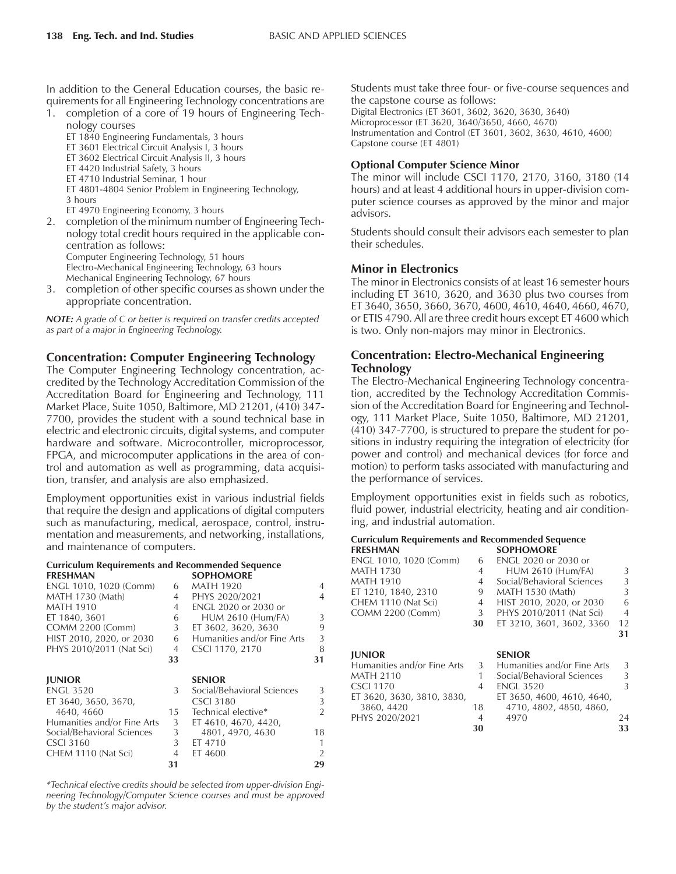In addition to the General Education courses, the basic requirements for all Engineering Technology concentrations are

1. completion of a core of 19 hours of Engineering Technology courses

ET 1840 Engineering Fundamentals, 3 hours

ET 3601 Electrical Circuit Analysis I, 3 hours

ET 3602 Electrical Circuit Analysis II, 3 hours

ET 4420 Industrial Safety, 3 hours

ET 4710 Industrial Seminar, 1 hour

ET 4801-4804 Senior Problem in Engineering Technology, 3 hours

ET 4970 Engineering Economy, 3 hours

2. completion of the minimum number of Engineering Technology total credit hours required in the applicable concentration as follows: Computer Engineering Technology, 51 hours

Electro-Mechanical Engineering Technology, 63 hours Mechanical Engineering Technology, 67 hours

3. completion of other specific courses as shown under the appropriate concentration.

*NOTE: A grade of C or better is required on transfer credits accepted as part of a major in Engineering Technology.*

## **Concentration: Computer Engineering Technology**

The Computer Engineering Technology concentration, accredited by the Technology Accreditation Commission of the Accreditation Board for Engineering and Technology, 111 Market Place, Suite 1050, Baltimore, MD 21201, (410) 347- 7700, provides the student with a sound technical base in electric and electronic circuits, digital systems, and computer hardware and software. Microcontroller, microprocessor, FPGA, and microcomputer applications in the area of control and automation as well as programming, data acquisition, transfer, and analysis are also emphasized.

Employment opportunities exist in various industrial fields that require the design and applications of digital computers such as manufacturing, medical, aerospace, control, instrumentation and measurements, and networking, installations, and maintenance of computers.

| <b>Curriculum Requirements and Recommended Sequence</b> |                |                             |               |
|---------------------------------------------------------|----------------|-----------------------------|---------------|
| <b>FRESHMAN</b>                                         |                | <b>SOPHOMORE</b>            |               |
| ENGL 1010, 1020 (Comm)                                  | 6              | <b>MATH 1920</b>            | 4             |
| MATH 1730 (Math)                                        | 4              | PHYS 2020/2021              | 4             |
| <b>MATH 1910</b>                                        | 4              | <b>ENGL 2020 or 2030 or</b> |               |
| ET 1840, 3601                                           | 6              | <b>HUM 2610 (Hum/FA)</b>    | 3             |
| <b>COMM 2200 (Comm)</b>                                 | 3              | ET 3602, 3620, 3630         | 9             |
| HIST 2010, 2020, or 2030                                | 6              | Humanities and/or Fine Arts | 3             |
| PHYS 2010/2011 (Nat Sci)                                | 4              | CSCI 1170, 2170             | 8             |
|                                                         | 33             |                             | 31            |
|                                                         |                |                             |               |
| <b>JUNIOR</b>                                           |                | <b>SENIOR</b>               |               |
|                                                         |                |                             |               |
| <b>ENGL 3520</b>                                        | 3              | Social/Behavioral Sciences  | 3             |
| ET 3640, 3650, 3670,                                    |                | <b>CSCL3180</b>             | 3             |
| 4640, 4660                                              | 15             | Technical elective*         | $\mathcal{P}$ |
| Humanities and/or Fine Arts                             | 3              | ET 4610, 4670, 4420,        |               |
| Social/Behavioral Sciences                              | 3 <sup>1</sup> | 4801, 4970, 4630            | 18            |
| <b>CSCI 3160</b>                                        | 3              | ET 4710                     | 1             |
| CHEM 1110 (Nat Sci)                                     | $\overline{4}$ | ET 4600                     | $\mathcal{D}$ |

*\*Technical elective credits should be selected from upper-division Engineering Technology/Computer Science courses and must be approved* by the student's major advisor.

Students must take three four- or five-course sequences and the capstone course as follows: Digital Electronics (ET 3601, 3602, 3620, 3630, 3640) Microprocessor (ET 3620, 3640/3650, 4660, 4670) Instrumentation and Control (ET 3601, 3602, 3630, 4610, 4600) Capstone course (ET 4801)

## **Optional Computer Science Minor**

The minor will include CSCI 1170, 2170, 3160, 3180 (14 hours) and at least 4 additional hours in upper-division computer science courses as approved by the minor and major advisors.

Students should consult their advisors each semester to plan their schedules.

## **Minor in Electronics**

The minor in Electronics consists of at least 16 semester hours including ET 3610, 3620, and 3630 plus two courses from ET 3640, 3650, 3660, 3670, 4600, 4610, 4640, 4660, 4670, or ETIS 4790. All are three credit hours except ET 4600 which is two. Only non-majors may minor in Electronics.

# **Concentration: Electro-Mechanical Engineering Technology**

The Electro-Mechanical Engineering Technology concentration, accredited by the Technology Accreditation Commission of the Accreditation Board for Engineering and Technology, 111 Market Place, Suite 1050, Baltimore, MD 21201, (410) 347-7700, is structured to prepare the student for positions in industry requiring the integration of electricity (for power and control) and mechanical devices (for force and motion) to perform tasks associated with manufacturing and the performance of services.

Employment opportunities exist in fields such as robotics, fluid power, industrial electricity, heating and air conditioning, and industrial automation.

#### **Curriculum Requirements and Recommended Sequence FRESHMAN SOPHOMORE**

| <b>FRESHMAN</b>             |                | SUPFIUNIUKE                 |                |
|-----------------------------|----------------|-----------------------------|----------------|
| ENGL 1010, 1020 (Comm)      | 6              | <b>ENGL 2020 or 2030 or</b> |                |
| <b>MATH 1730</b>            | $\overline{4}$ | <b>HUM 2610 (Hum/FA)</b>    | 3              |
| MATH 1910                   | $\overline{4}$ | Social/Behavioral Sciences  | 3              |
| ET 1210, 1840, 2310         | 9              | <b>MATH 1530 (Math)</b>     | $\mathcal{L}$  |
| CHEM 1110 (Nat Sci)         | 4              | HIST 2010, 2020, or 2030    | 6              |
| <b>COMM 2200 (Comm)</b>     | 3              | PHYS 2010/2011 (Nat Sci)    | $\overline{4}$ |
|                             | 30             | ET 3210, 3601, 3602, 3360   | 12             |
|                             |                |                             | 31             |
|                             |                |                             |                |
| <b>IUNIOR</b>               |                | <b>SENIOR</b>               |                |
| Humanities and/or Fine Arts | 3              | Humanities and/or Fine Arts | 3              |
| <b>MATH 2110</b>            | 1              | Social/Behavioral Sciences  | 3              |
| <b>CSCI 1170</b>            | 4              | <b>ENGL 3520</b>            | 3              |
| ET 3620, 3630, 3810, 3830,  |                | ET 3650, 4600, 4610, 4640,  |                |
| 3860, 4420                  | 18             | 4710, 4802, 4850, 4860,     |                |
| PHYS 2020/2021              | 4              | 4970                        | 24             |
|                             |                |                             | 33             |
|                             | 30             |                             |                |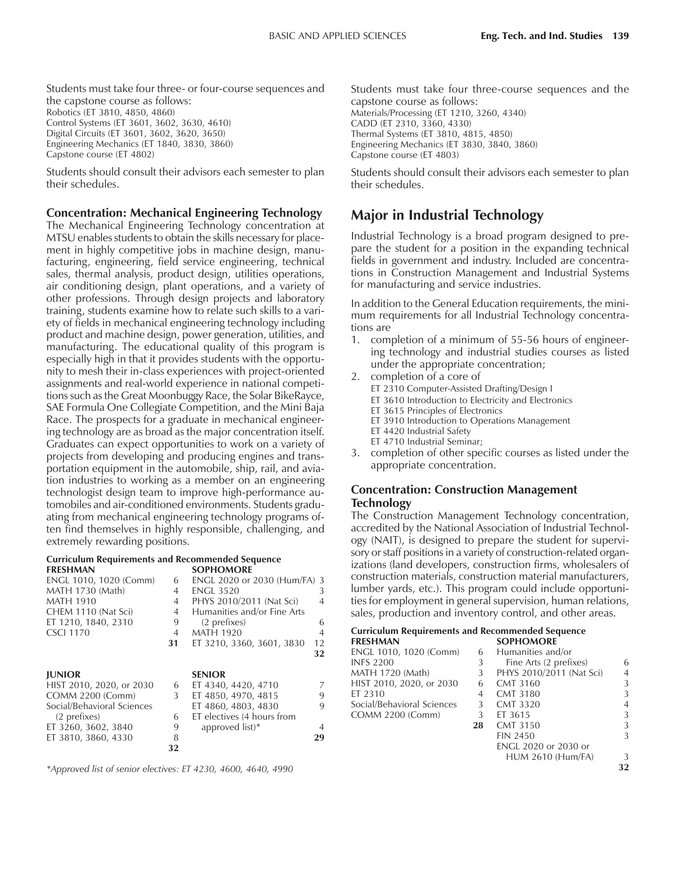Students must take four three- or four-course sequences and the capstone course as follows: Robotics (ET 3810, 4850, 4860) Control Systems (ET 3601, 3602, 3630, 4610) Digital Circuits (ET 3601, 3602, 3620, 3650) Engineering Mechanics (ET 1840, 3830, 3860) Capstone course (ET 4802)

Students should consult their advisors each semester to plan their schedules.

#### **Concentration: Mechanical Engineering Technology**

The Mechanical Engineering Technology concentration at MTSU enables students to obtain the skills necessary for placement in highly competitive jobs in machine design, manufacturing, engineering, field service engineering, technical sales, thermal analysis, product design, utilities operations, air conditioning design, plant operations, and a variety of other professions. Through design projects and laboratory training, students examine how to relate such skills to a variety of fields in mechanical engineering technology including product and machine design, power generation, utilities, and manufacturing. The educational quality of this program is especially high in that it provides students with the opportunity to mesh their in-class experiences with project-oriented assignments and real-world experience in national competitions such as the Great Moonbuggy Race, the Solar BikeRayce, SAE Formula One Collegiate Competition, and the Mini Baja Race. The prospects for a graduate in mechanical engineering technology are as broad as the major concentration itself. Graduates can expect opportunities to work on a variety of projects from developing and producing engines and transportation equipment in the automobile, ship, rail, and aviation industries to working as a member on an engineering technologist design team to improve high-performance automobiles and air-conditioned environments. Students graduating from mechanical engineering technology programs often find themselves in highly responsible, challenging, and extremely rewarding positions.

#### **Curriculum Requirements and Recommended Sequence SOPHOMORE**

| ENGL 1010, 1020 (Comm)     | 6              | ENGL 2020 or 2030 (Hum/FA) 3 |                |
|----------------------------|----------------|------------------------------|----------------|
| <b>MATH 1730 (Math)</b>    | 4              | <b>ENGL 3520</b>             | 3              |
| <b>MATH 1910</b>           | 4              | PHYS 2010/2011 (Nat Sci)     | $\overline{4}$ |
| CHEM 1110 (Nat Sci)        | 4              | Humanities and/or Fine Arts  |                |
| ET 1210, 1840, 2310        | 9              | (2 prefixes)                 | 6              |
| <b>CSCI 1170</b>           | $\overline{4}$ | <b>MATH 1920</b>             | $\overline{4}$ |
|                            | 31             | ET 3210, 3360, 3601, 3830    | 12             |
|                            |                |                              | 32             |
| <b>IUNIOR</b>              |                | <b>SENIOR</b>                |                |
|                            |                |                              |                |
| HIST 2010, 2020, or 2030   | 6              | ET 4340, 4420, 4710          | 7              |
| COMM 2200 (Comm)           |                |                              |                |
|                            | 3              | ET 4850, 4970, 4815          | 9              |
| Social/Behavioral Sciences |                | ET 4860, 4803, 4830          | 9              |
| (2 prefixes)               | 6              | ET electives (4 hours from   |                |
| ET 3260, 3602, 3840        | 9              | approved list)*              | 4              |
| ET 3810, 3860, 4330        | 8              |                              | 29             |
|                            | 32             |                              |                |

*\*Approved list of senior electives: ET 4230, 4600, 4640, 4990*

Students must take four three-course sequences and the capstone course as follows: Materials/Processing (ET 1210, 3260, 4340) CADD (ET 2310, 3360, 4330) Thermal Systems (ET 3810, 4815, 4850) Engineering Mechanics (ET 3830, 3840, 3860) Capstone course (ET 4803)

Students should consult their advisors each semester to plan their schedules.

# **Major in Industrial Technology**

Industrial Technology is a broad program designed to prepare the student for a position in the expanding technical fields in government and industry. Included are concentrations in Construction Management and Industrial Systems for manufacturing and service industries.

In addition to the General Education requirements, the minimum requirements for all Industrial Technology concentrations are

- 1. completion of a minimum of 55-56 hours of engineering technology and industrial studies courses as listed under the appropriate concentration;
- 2. completion of a core of
	- ET 2310 Computer-Assisted Drafting/Design I
	- ET 3610 Introduction to Electricity and Electronics
	- ET 3615 Principles of Electronics
	- ET 3910 Introduction to Operations Management
	- ET 4420 Industrial Safety
	- ET 4710 Industrial Seminar;
- 3. completion of other specific courses as listed under the appropriate concentration.

#### **Concentration: Construction Management Technology**

The Construction Management Technology concentration, accredited by the National Association of Industrial Technology (NAIT), is designed to prepare the student for supervisory or staff positions in a variety of construction-related organizations (land developers, construction firms, wholesalers of construction materials, construction material manufacturers, lumber yards, etc.). This program could include opportunities for employment in general supervision, human relations, sales, production and inventory control, and other areas.

|                 | <b>Curriculum Requirements and Recommended Sequence</b> |
|-----------------|---------------------------------------------------------|
| <b>FRESHMAN</b> | <b>SOPHOMORE</b>                                        |

| 6  | Humanities and/or        |                          |
|----|--------------------------|--------------------------|
| 3  | Fine Arts (2 prefixes)   | 6                        |
| 3  |                          | 4                        |
| 6  | <b>CMT 3160</b>          | 3                        |
| 4  | <b>CMT 3180</b>          | 3                        |
| 3  | <b>CMT 3320</b>          | 4                        |
| 3  | ET 3615                  | 3                        |
| 28 | <b>CMT 3150</b>          | 3                        |
|    | <b>FIN 2450</b>          | 3                        |
|    | ENGL 2020 or 2030 or     |                          |
|    | <b>HUM 2610 (Hum/FA)</b> | 3                        |
|    |                          | PHYS 2010/2011 (Nat Sci) |

**32**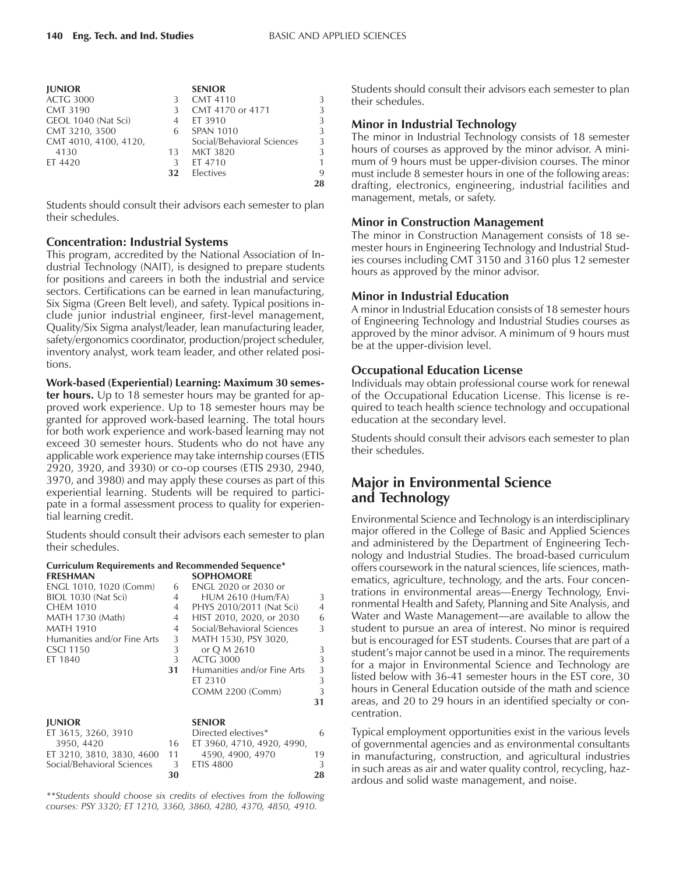| <b>JUNIOR</b>         |    | <b>SENIOR</b>              |    |
|-----------------------|----|----------------------------|----|
| <b>ACTG 3000</b>      | 3  | <b>CMT 4110</b>            | 3  |
| <b>CMT 3190</b>       | 3  | CMT 4170 or 4171           | 3  |
| GEOL 1040 (Nat Sci)   |    | ET 3910                    | 3  |
| CMT 3210, 3500        | 6  | <b>SPAN 1010</b>           | 3  |
| CMT 4010, 4100, 4120, |    | Social/Behavioral Sciences | 3  |
| 4130                  | 13 | <b>MKT 3820</b>            | 3  |
| ET 4420               | 3  | ET 4710                    | 1  |
|                       | 32 | Electives                  | 9  |
|                       |    |                            | 28 |

Students should consult their advisors each semester to plan their schedules.

#### **Concentration: Industrial Systems**

This program, accredited by the National Association of Industrial Technology (NAIT), is designed to prepare students for positions and careers in both the industrial and service sectors. Certifications can be earned in lean manufacturing, Six Sigma (Green Belt level), and safety. Typical positions include junior industrial engineer, first-level management, Quality/Six Sigma analyst/leader, lean manufacturing leader, safety/ergonomics coordinator, production/project scheduler, inventory analyst, work team leader, and other related positions.

#### **Work-based (Experiential) Learning: Maximum 30 semes-**

**ter hours.** Up to 18 semester hours may be granted for approved work experience. Up to 18 semester hours may be granted for approved work-based learning. The total hours for both work experience and work-based learning may not exceed 30 semester hours. Students who do not have any applicable work experience may take internship courses (ETIS 2920, 3920, and 3930) or co-op courses (ETIS 2930, 2940, 3970, and 3980) and may apply these courses as part of this experiential learning. Students will be required to participate in a formal assessment process to quality for experiential learning credit.

Students should consult their advisors each semester to plan their schedules.

#### **Curriculum Requirements and Recommended Sequence\* FRESHMAN SOPHOMORE**

| ENESEIVIAIN                 |    | 30 JE FIOJIVNO JNE          |    |
|-----------------------------|----|-----------------------------|----|
| ENGL 1010, 1020 (Comm)      | 6  | <b>ENGL 2020 or 2030 or</b> |    |
| BIOL 1030 (Nat Sci)         | 4  | <b>HUM 2610 (Hum/FA)</b>    | 3  |
| <b>CHEM 1010</b>            | 4  | PHYS 2010/2011 (Nat Sci)    | 4  |
| <b>MATH 1730 (Math)</b>     | 4  | HIST 2010, 2020, or 2030    | 6  |
| <b>MATH 1910</b>            | 4  | Social/Behavioral Sciences  | 3  |
| Humanities and/or Fine Arts | 3  | MATH 1530, PSY 3020,        |    |
| <b>CSCI 1150</b>            | 3  | or Q M 2610                 | 3  |
| ET 1840                     | 3  | <b>ACTG 3000</b>            | 3  |
|                             | 31 | Humanities and/or Fine Arts | 3  |
|                             |    | ET 2310                     | 3  |
|                             |    | <b>COMM 2200 (Comm)</b>     | 3  |
|                             |    |                             | 31 |
| <b>JUNIOR</b>               |    | <b>SENIOR</b>               |    |
| ET 3615, 3260, 3910         |    | Directed electives*         | 6  |
| 3950, 4420                  | 16 | ET 3960, 4710, 4920, 4990,  |    |
| ET 3210, 3810, 3830, 4600   | 11 | 4590, 4900, 4970            | 19 |
| Social/Behavioral Sciences  | 3  | <b>ETIS 4800</b>            | 3  |
|                             | 30 |                             | 28 |

*\*\*Students should choose six credits of electives from the following courses: PSY 3320; ET 1210, 3360, 3860, 4280, 4370, 4850, 4910.*

Students should consult their advisors each semester to plan their schedules.

## **Minor in Industrial Technology**

The minor in Industrial Technology consists of 18 semester hours of courses as approved by the minor advisor. A minimum of 9 hours must be upper-division courses. The minor must include 8 semester hours in one of the following areas: drafting, electronics, engineering, industrial facilities and management, metals, or safety.

## **Minor in Construction Management**

The minor in Construction Management consists of 18 semester hours in Engineering Technology and Industrial Studies courses including CMT 3150 and 3160 plus 12 semester hours as approved by the minor advisor.

#### **Minor in Industrial Education**

A minor in Industrial Education consists of 18 semester hours of Engineering Technology and Industrial Studies courses as approved by the minor advisor. A minimum of 9 hours must be at the upper-division level.

## **Occupational Education License**

Individuals may obtain professional course work for renewal of the Occupational Education License. This license is required to teach health science technology and occupational education at the secondary level.

Students should consult their advisors each semester to plan their schedules.

# **Major in Environmental Science and Technology**

Environmental Science and Technology is an interdisciplinary major offered in the College of Basic and Applied Sciences and administered by the Department of Engineering Technology and Industrial Studies. The broad-based curriculum offers coursework in the natural sciences, life sciences, mathematics, agriculture, technology, and the arts. Four concentrations in environmental areas—Energy Technology, Environmental Health and Safety, Planning and Site Analysis, and Water and Waste Management—are available to allow the student to pursue an area of interest. No minor is required but is encouraged for EST students. Courses that are part of a student's major cannot be used in a minor. The requirements for a major in Environmental Science and Technology are listed below with 36-41 semester hours in the EST core, 30 hours in General Education outside of the math and science areas, and 20 to 29 hours in an identified specialty or concentration.

Typical employment opportunities exist in the various levels of governmental agencies and as environmental consultants in manufacturing, construction, and agricultural industries in such areas as air and water quality control, recycling, hazardous and solid waste management, and noise.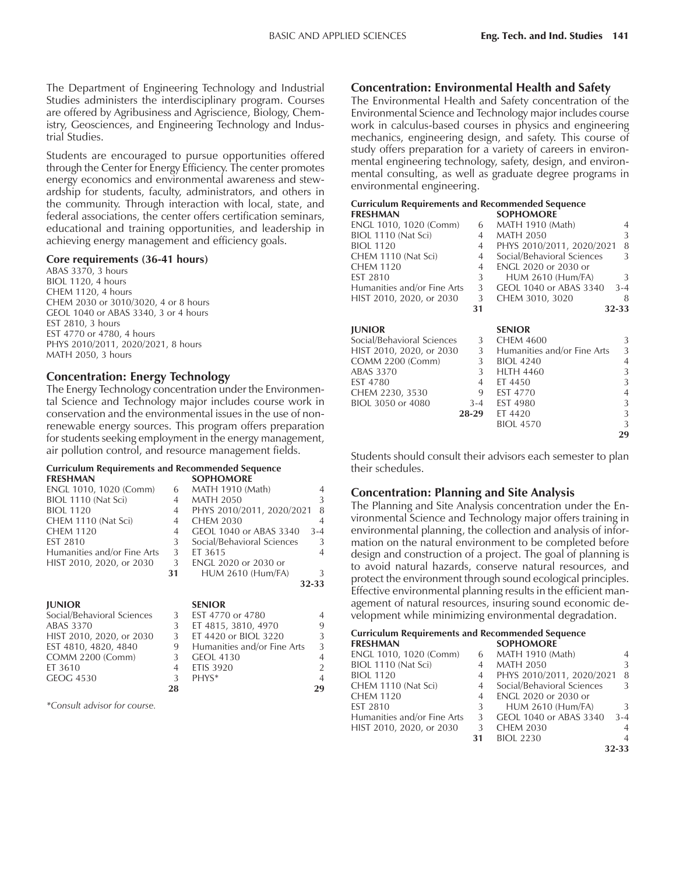The Department of Engineering Technology and Industrial Studies administers the interdisciplinary program. Courses are offered by Agribusiness and Agriscience, Biology, Chemistry, Geosciences, and Engineering Technology and Industrial Studies.

Students are encouraged to pursue opportunities offered through the Center for Energy Efficiency. The center promotes energy economics and environmental awareness and stewardship for students, faculty, administrators, and others in the community. Through interaction with local, state, and federal associations, the center offers certification seminars, educational and training opportunities, and leadership in achieving energy management and efficiency goals.

#### **Core requirements (36-41 hours)**

ABAS 3370, 3 hours BIOL 1120, 4 hours CHEM 1120, 4 hours CHEM 2030 or 3010/3020, 4 or 8 hours GEOL 1040 or ABAS 3340, 3 or 4 hours EST 2810, 3 hours EST 4770 or 4780, 4 hours PHYS 2010/2011, 2020/2021, 8 hours MATH 2050, 3 hours

#### **Concentration: Energy Technology**

The Energy Technology concentration under the Environmental Science and Technology major includes course work in conservation and the environmental issues in the use of nonrenewable energy sources. This program offers preparation for students seeking employment in the energy management, air pollution control, and resource management fields.

#### **Curriculum Requirements and Recommended Sequence FRESHMAN SOPHOMORE**

| .                           |    | 301 I IO/IIONI             |         |
|-----------------------------|----|----------------------------|---------|
| ENGL 1010, 1020 (Comm)      | 6  | <b>MATH 1910 (Math)</b>    |         |
| BIOL 1110 (Nat Sci)         | 4  | <b>MATH 2050</b>           | 3       |
| <b>BIOL 1120</b>            | 4  | PHYS 2010/2011, 2020/2021  | 8       |
| CHEM 1110 (Nat Sci)         | 4  | <b>CHEM 2030</b>           |         |
| CHEM 1120                   | 4  | GEOL 1040 or ABAS 3340     | $3 - 4$ |
| EST 2810                    | 3  | Social/Behavioral Sciences |         |
| Humanities and/or Fine Arts | 3  | ET 3615                    |         |
| HIST 2010, 2020, or 2030    | 3  | ENGL 2020 or 2030 or       |         |
|                             | 31 | <b>HUM 2610 (Hum/FA)</b>   |         |
|                             |    |                            | 32-33   |
|                             |    |                            |         |

|    | <b>SENIOR</b>               |                |
|----|-----------------------------|----------------|
| 3  | EST 4770 or 4780            | $\overline{A}$ |
| 3  | ET 4815, 3810, 4970         | 9              |
| 3  | ET 4420 or BIOL 3220        | 3              |
|    | Humanities and/or Fine Arts | 3              |
|    | <b>GEOL 4130</b>            | $\overline{4}$ |
|    | <b>ETIS 3920</b>            | $\overline{2}$ |
| 3  | PHYS*                       | $\overline{4}$ |
| 28 |                             | 29             |
|    |                             |                |

*\*Consult advisor for course.*

## **Concentration: Environmental Health and Safety**

The Environmental Health and Safety concentration of the Environmental Science and Technology major includes course work in calculus-based courses in physics and engineering mechanics, engineering design, and safety. This course of study offers preparation for a variety of careers in environmental engineering technology, safety, design, and environmental consulting, as well as graduate degree programs in environmental engineering.

| <b>Curriculum Requirements and Recommended Sequence</b> |                |                             |                |
|---------------------------------------------------------|----------------|-----------------------------|----------------|
| <b>FRESHMAN</b>                                         |                | <b>SOPHOMORE</b>            |                |
| ENGL 1010, 1020 (Comm)                                  | 6              | <b>MATH 1910 (Math)</b>     | 4              |
| BIOL 1110 (Nat Sci)                                     | 4              | <b>MATH 2050</b>            | 3              |
| <b>BIOL 1120</b>                                        | 4              | PHYS 2010/2011, 2020/2021   | 8              |
| CHEM 1110 (Nat Sci)                                     | 4              | Social/Behavioral Sciences  | 3              |
| <b>CHEM 1120</b>                                        | $\overline{4}$ | ENGL 2020 or 2030 or        |                |
| <b>EST 2810</b>                                         | 3              | <b>HUM 2610 (Hum/FA)</b>    | 3              |
| Humanities and/or Fine Arts                             | 3              | GEOL 1040 or ABAS 3340      | $3 - 4$        |
| HIST 2010, 2020, or 2030                                | 3              | CHEM 3010, 3020             | 8              |
|                                                         | 31             |                             | 32-33          |
|                                                         |                |                             |                |
| <b>JUNIOR</b>                                           |                | <b>SENIOR</b>               |                |
| Social/Behavioral Sciences                              | 3              | <b>CHEM 4600</b>            | 3              |
| HIST 2010, 2020, or 2030                                | 3              | Humanities and/or Fine Arts | 3              |
| <b>COMM 2200 (Comm)</b>                                 | 3              | <b>BIOL 4240</b>            | 4              |
| <b>ABAS 3370</b>                                        | 3              | <b>HLTH 4460</b>            | 3              |
| EST 4780                                                | 4              | ET 4450                     | 3              |
| CHEM 2230, 3530                                         | 9              | EST 4770                    | $\overline{4}$ |
| BIOL 3050 or 4080                                       | $3-4$          | <b>EST 4980</b>             | 3              |
|                                                         | 28-29          | ET 4420                     | 3              |
|                                                         |                | <b>BIOL 4570</b>            | 3              |
|                                                         |                |                             | 29             |

Students should consult their advisors each semester to plan their schedules.

## **Concentration: Planning and Site Analysis**

The Planning and Site Analysis concentration under the Environmental Science and Technology major offers training in environmental planning, the collection and analysis of information on the natural environment to be completed before design and construction of a project. The goal of planning is to avoid natural hazards, conserve natural resources, and protect the environment through sound ecological principles. Effective environmental planning results in the efficient management of natural resources, insuring sound economic development while minimizing environmental degradation.

| Curriculum Requirements and Recommended Sequence |    |                             |               |
|--------------------------------------------------|----|-----------------------------|---------------|
| <b>FRESHMAN</b>                                  |    | <b>SOPHOMORE</b>            |               |
| ENGL 1010, 1020 (Comm)                           | 6  | <b>MATH 1910 (Math)</b>     | 4             |
| BIOL 1110 (Nat Sci)                              | 4  | <b>MATH 2050</b>            | 3             |
| <b>BIOL 1120</b>                                 | 4  | PHYS 2010/2011, 2020/2021   | 8             |
| CHEM 1110 (Nat Sci)                              | 4  | Social/Behavioral Sciences  | $\mathcal{L}$ |
| CHEM 1120                                        | 4  | <b>ENGL 2020 or 2030 or</b> |               |
| EST 2810                                         | 3  | <b>HUM 2610 (Hum/FA)</b>    | $\mathcal{L}$ |
| Humanities and/or Fine Arts                      | 3  | GEOL 1040 or ABAS 3340      | $3 - 4$       |
| HIST 2010, 2020, or 2030                         | 3  | <b>CHEM 2030</b>            | 4             |
|                                                  | 31 | <b>BIOL 2230</b>            | 4             |
|                                                  |    |                             | 32-33         |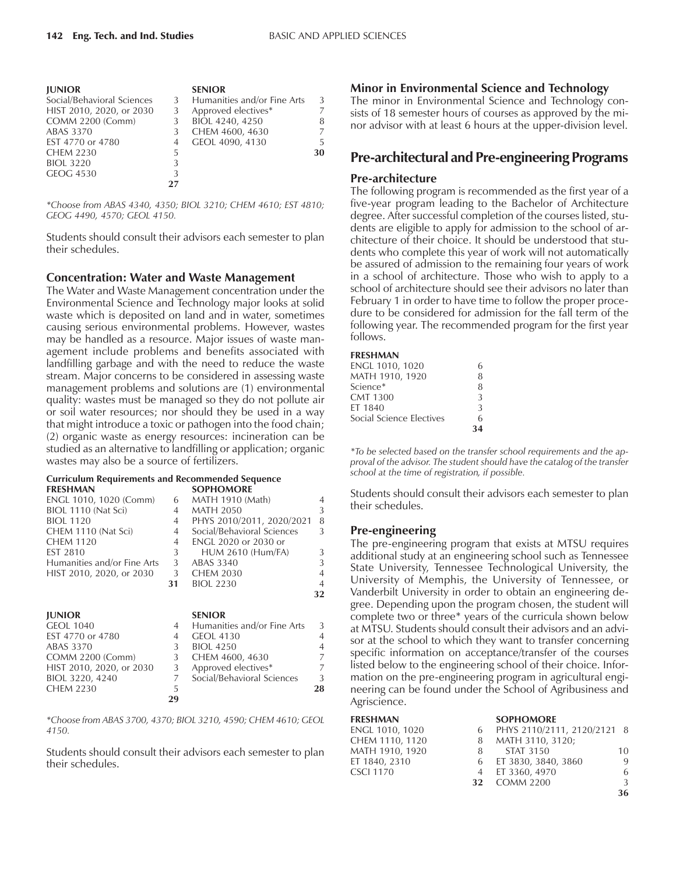| <b>JUNIOR</b>              |   | <b>SENIOR</b>               |    |
|----------------------------|---|-----------------------------|----|
| Social/Behavioral Sciences | 3 | Humanities and/or Fine Arts | 3  |
| HIST 2010, 2020, or 2030   | 3 | Approved electives*         |    |
| <b>COMM 2200 (Comm)</b>    | 3 | BIOL 4240, 4250             | 8  |
| ABAS 3370                  | 3 | CHEM 4600, 4630             |    |
| EST 4770 or 4780           | 4 | GEOL 4090, 4130             | 5  |
| <b>CHEM 2230</b>           | 5 |                             | 30 |
| <b>BIOL 3220</b>           | 3 |                             |    |
| <b>GEOG 4530</b>           | 3 |                             |    |
|                            |   |                             |    |

*\*Choose from ABAS 4340, 4350; BIOL 3210; CHEM 4610; EST 4810; GEOG 4490, 4570; GEOL 4150.*

Students should consult their advisors each semester to plan their schedules.

#### **Concentration: Water and Waste Management**

The Water and Waste Management concentration under the Environmental Science and Technology major looks at solid waste which is deposited on land and in water, sometimes causing serious environmental problems. However, wastes may be handled as a resource. Major issues of waste management include problems and benefits associated with landfilling garbage and with the need to reduce the waste stream. Major concerns to be considered in assessing waste management problems and solutions are (1) environmental quality: wastes must be managed so they do not pollute air or soil water resources; nor should they be used in a way that might introduce a toxic or pathogen into the food chain; (2) organic waste as energy resources: incineration can be studied as an alternative to landfilling or application; organic wastes may also be a source of fertilizers.

#### **Curriculum Requirements and Recommended Sequence**

| carriedium nequirements and necommenaed sequence |    |                             |    |
|--------------------------------------------------|----|-----------------------------|----|
| <b>FRESHMAN</b>                                  |    | <b>SOPHOMORE</b>            |    |
| ENGL 1010, 1020 (Comm)                           | 6  | MATH 1910 (Math)            | 4  |
| BIOL 1110 (Nat Sci)                              | 4  | <b>MATH 2050</b>            | 3  |
| <b>BIOL 1120</b>                                 | 4  | PHYS 2010/2011, 2020/2021   | 8  |
| CHEM 1110 (Nat Sci)                              | 4  | Social/Behavioral Sciences  | 3  |
| <b>CHEM 1120</b>                                 | 4  | <b>ENGL 2020 or 2030 or</b> |    |
| <b>EST 2810</b>                                  | 3  | <b>HUM 2610 (Hum/FA)</b>    | 3  |
| Humanities and/or Fine Arts                      | 3  | ABAS 3340                   | 3  |
| HIST 2010, 2020, or 2030                         | 3  | <b>CHEM 2030</b>            | 4  |
|                                                  | 31 | <b>BIOL 2230</b>            | 4  |
|                                                  |    |                             | 32 |
| <b>JUNIOR</b>                                    |    | <b>SENIOR</b>               |    |
| <b>GEOL 1040</b>                                 | 4  | Humanities and/or Fine Arts | 3  |
| EST 4770 or 4780                                 | 4  | GEOL 4130                   | 4  |
| ABAS 3370                                        | 3  | <b>BIOL 4250</b>            | 4  |
| <b>COMM 2200 (Comm)</b>                          | 3  | CHEM 4600, 4630             |    |
| HIST 2010, 2020, or 2030                         | 3  | Approved electives*         |    |
| BIOL 3220, 4240                                  | 7  | Social/Behavioral Sciences  | 3  |

*\*Choose from ABAS 3700, 4370; BIOL 3210, 4590; CHEM 4610; GEOL 4150.*

CHEM 2230 5 **28 29**

Students should consult their advisors each semester to plan their schedules.

#### **Minor in Environmental Science and Technology**

The minor in Environmental Science and Technology consists of 18 semester hours of courses as approved by the minor advisor with at least 6 hours at the upper-division level.

## **Pre-architectural and Pre-engineering Programs**

#### **Pre-architecture**

The following program is recommended as the first year of a five-year program leading to the Bachelor of Architecture degree. After successful completion of the courses listed, students are eligible to apply for admission to the school of architecture of their choice. It should be understood that students who complete this year of work will not automatically be assured of admission to the remaining four years of work in a school of architecture. Those who wish to apply to a school of architecture should see their advisors no later than February 1 in order to have time to follow the proper procedure to be considered for admission for the fall term of the following year. The recommended program for the first year follows.

#### **FRESHMAN**

| ENGL 1010, 1020          | 6             |
|--------------------------|---------------|
| MATH 1910, 1920          | 8             |
| Science*                 | 8             |
| CMT 1300                 | 3             |
| ET 1840                  | $\mathcal{L}$ |
| Social Science Electives | 6             |
|                          | 34            |

*\*To be selected based on the transfer school requirements and the approval of the advisor. The student should have the catalog of the transfer school at the time of registration, if possible.*

Students should consult their advisors each semester to plan their schedules.

#### **Pre-engineering**

The pre-engineering program that exists at MTSU requires additional study at an engineering school such as Tennessee State University, Tennessee Technological University, the University of Memphis, the University of Tennessee, or Vanderbilt University in order to obtain an engineering degree. Depending upon the program chosen, the student will complete two or three\* years of the curricula shown below at MTSU. Students should consult their advisors and an advisor at the school to which they want to transfer concerning specific information on acceptance/transfer of the courses listed below to the engineering school of their choice. Information on the pre-engineering program in agricultural engineering can be found under the School of Agribusiness and Agriscience.

| <b>FRESHMAN</b> |    | <b>SOPHOMORE</b>            |               |
|-----------------|----|-----------------------------|---------------|
| ENGL 1010, 1020 | 6  | PHYS 2110/2111, 2120/2121 8 |               |
| CHEM 1110, 1120 | 8  | MATH 3110, 3120;            |               |
| MATH 1910, 1920 | 8. | STAT 3150                   | 10            |
| ET 1840, 2310   |    | 6 ET 3830, 3840, 3860       | 9             |
| CSCI 1170       |    | 4 ET 3360, 4970             | 6             |
|                 |    | 32 COMM 2200                | $\mathcal{L}$ |
|                 |    |                             | 36            |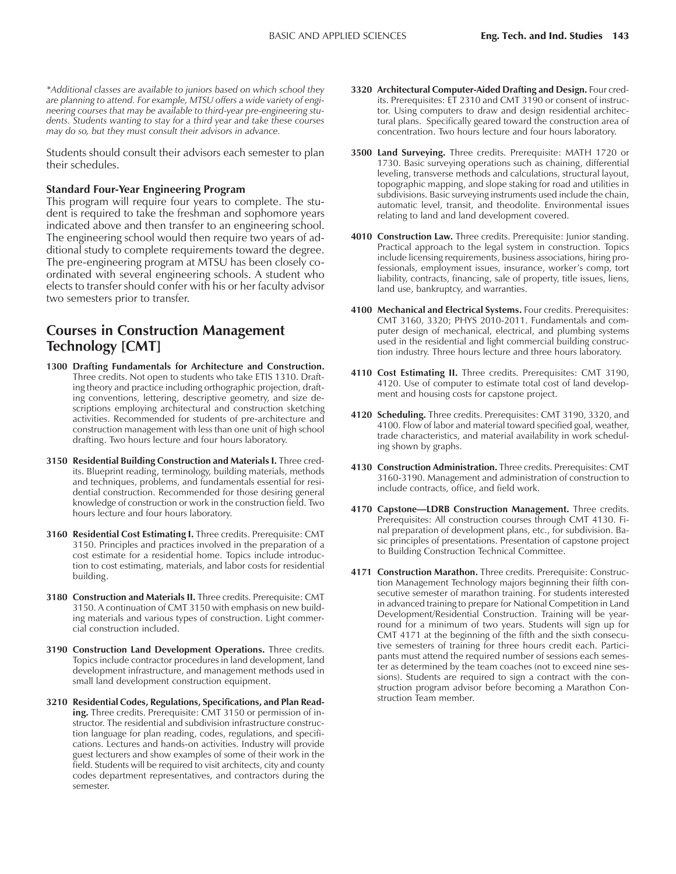*\*Additional classes are available to juniors based on which school they are planning to attend. For example, MTSU offers a wide variety of engineering courses that may be available to third-year pre-engineering students. Students wanting to stay for a third year and take these courses may do so, but they must consult their advisors in advance.*

Students should consult their advisors each semester to plan their schedules.

#### **Standard Four-Year Engineering Program**

This program will require four years to complete. The student is required to take the freshman and sophomore years indicated above and then transfer to an engineering school. The engineering school would then require two years of additional study to complete requirements toward the degree. The pre-engineering program at MTSU has been closely coordinated with several engineering schools. A student who elects to transfer should confer with his or her faculty advisor two semesters prior to transfer.

# **Courses in Construction Management Technology [CMT]**

- **1300 Drafting Fundamentals for Architecture and Construction.** Three credits. Not open to students who take ETIS 1310. Drafting theory and practice including orthographic projection, drafting conventions, lettering, descriptive geometry, and size descriptions employing architectural and construction sketching activities. Recommended for students of pre-architecture and construction management with less than one unit of high school drafting. Two hours lecture and four hours laboratory.
- **3150 Residential Building Construction and Materials I.** Three credits. Blueprint reading, terminology, building materials, methods and techniques, problems, and fundamentals essential for residential construction. Recommended for those desiring general knowledge of construction or work in the construction field. Two hours lecture and four hours laboratory.
- **3160 Residential Cost Estimating I.** Three credits. Prerequisite: CMT 3150. Principles and practices involved in the preparation of a cost estimate for a residential home. Topics include introduction to cost estimating, materials, and labor costs for residential building.
- **3180 Construction and Materials II.** Three credits. Prerequisite: CMT 3150. A continuation of CMT 3150 with emphasis on new building materials and various types of construction. Light commercial construction included.
- **3190 Construction Land Development Operations.** Three credits. Topics include contractor procedures in land development, land development infrastructure, and management methods used in small land development construction equipment.
- **3210 Residential Codes, Regulations, Specifications, and Plan Reading.** Three credits. Prerequisite: CMT 3150 or permission of instructor. The residential and subdivision infrastructure construction language for plan reading, codes, regulations, and specifications. Lectures and hands-on activities. Industry will provide guest lecturers and show examples of some of their work in the field. Students will be required to visit architects, city and county codes department representatives, and contractors during the semester.
- **3320 Architectural Computer-Aided Drafting and Design.** Four credits. Prerequisites: ET 2310 and CMT 3190 or consent of instructor. Using computers to draw and design residential architectural plans. Specifically geared toward the construction area of concentration. Two hours lecture and four hours laboratory.
- **3500 Land Surveying.** Three credits. Prerequisite: MATH 1720 or 1730. Basic surveying operations such as chaining, differential leveling, transverse methods and calculations, structural layout, topographic mapping, and slope staking for road and utilities in subdivisions. Basic surveying instruments used include the chain, automatic level, transit, and theodolite. Environmental issues relating to land and land development covered.
- **4010 Construction Law.** Three credits. Prerequisite: Junior standing. Practical approach to the legal system in construction. Topics include licensing requirements, business associations, hiring professionals, employment issues, insurance, worker's comp, tort liability, contracts, financing, sale of property, title issues, liens, land use, bankruptcy, and warranties.
- **4100 Mechanical and Electrical Systems.** Four credits. Prerequisites: CMT 3160, 3320; PHYS 2010-2011. Fundamentals and computer design of mechanical, electrical, and plumbing systems used in the residential and light commercial building construction industry. Three hours lecture and three hours laboratory.
- **4110 Cost Estimating II.** Three credits. Prerequisites: CMT 3190, 4120. Use of computer to estimate total cost of land development and housing costs for capstone project.
- **4120 Scheduling.** Three credits. Prerequisites: CMT 3190, 3320, and 4100. Flow of labor and material toward specified goal, weather, trade characteristics, and material availability in work scheduling shown by graphs.
- **4130 Construction Administration.** Three credits. Prerequisites: CMT 3160-3190. Management and administration of construction to include contracts, office, and field work.
- 4170 Capstone-LDRB Construction Management. Three credits. Prerequisites: All construction courses through CMT 4130. Final preparation of development plans, etc., for subdivision. Basic principles of presentations. Presentation of capstone project to Building Construction Technical Committee.
- **4171 Construction Marathon.** Three credits. Prerequisite: Construction Management Technology majors beginning their fifth consecutive semester of marathon training. For students interested in advanced training to prepare for National Competition in Land Development/Residential Construction. Training will be yearround for a minimum of two years. Students will sign up for CMT 4171 at the beginning of the fifth and the sixth consecutive semesters of training for three hours credit each. Participants must attend the required number of sessions each semester as determined by the team coaches (not to exceed nine sessions). Students are required to sign a contract with the construction program advisor before becoming a Marathon Construction Team member.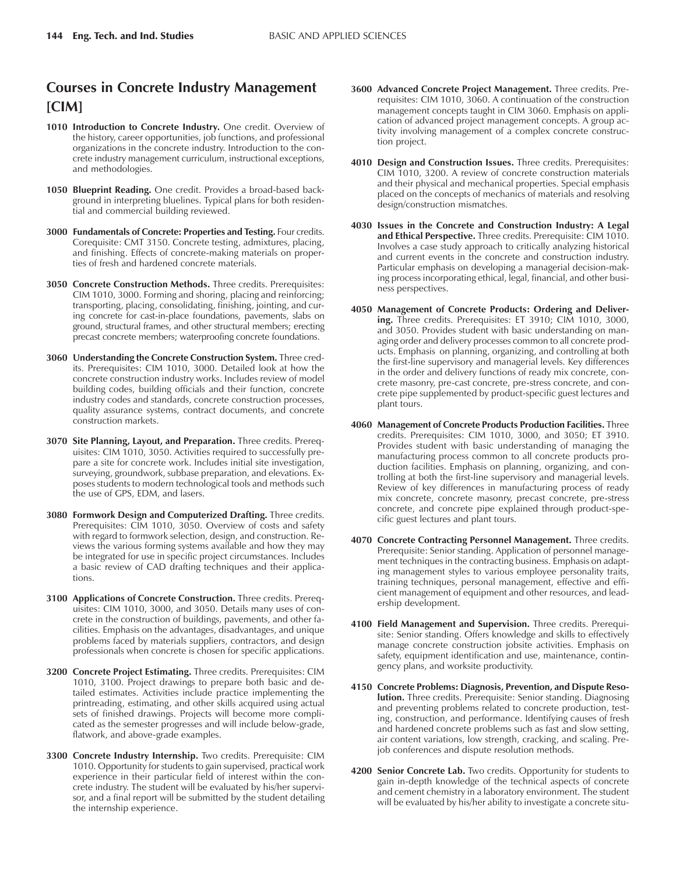# **Courses in Concrete Industry Management [CIM]**

- 1010 Introduction to Concrete Industry. One credit. Overview of the history, career opportunities, job functions, and professional organizations in the concrete industry. Introduction to the concrete industry management curriculum, instructional exceptions, and methodologies.
- **1050 Blueprint Reading.** One credit. Provides a broad-based background in interpreting bluelines. Typical plans for both residential and commercial building reviewed.
- **3000 Fundamentals of Concrete: Properties and Testing.** Four credits. Corequisite: CMT 3150. Concrete testing, admixtures, placing, and finishing. Effects of concrete-making materials on properties of fresh and hardened concrete materials.
- **3050 Concrete Construction Methods.** Three credits. Prerequisites: CIM 1010, 3000. Forming and shoring, placing and reinforcing; transporting, placing, consolidating, finishing, jointing, and curing concrete for cast-in-place foundations, pavements, slabs on ground, structural frames, and other structural members; erecting precast concrete members; waterproofing concrete foundations.
- **3060 Understanding the Concrete Construction System.** Three credits. Prerequisites: CIM 1010, 3000. Detailed look at how the concrete construction industry works. Includes review of model building codes, building officials and their function, concrete industry codes and standards, concrete construction processes, quality assurance systems, contract documents, and concrete construction markets.
- **3070 Site Planning, Layout, and Preparation.** Three credits. Prerequisites: CIM 1010, 3050. Activities required to successfully prepare a site for concrete work. Includes initial site investigation, surveying, groundwork, subbase preparation, and elevations. Exposes students to modern technological tools and methods such the use of GPS, EDM, and lasers.
- **3080 Formwork Design and Computerized Drafting.** Three credits. Prerequisites: CIM 1010, 3050. Overview of costs and safety with regard to formwork selection, design, and construction. Reviews the various forming systems available and how they may be integrated for use in specific project circumstances. Includes a basic review of CAD drafting techniques and their applications.
- **3100 Applications of Concrete Construction.** Three credits. Prerequisites: CIM 1010, 3000, and 3050. Details many uses of concrete in the construction of buildings, pavements, and other facilities. Emphasis on the advantages, disadvantages, and unique problems faced by materials suppliers, contractors, and design professionals when concrete is chosen for specific applications.
- **3200 Concrete Project Estimating.** Three credits. Prerequisites: CIM 1010, 3100. Project drawings to prepare both basic and detailed estimates. Activities include practice implementing the printreading, estimating, and other skills acquired using actual sets of finished drawings. Projects will become more complicated as the semester progresses and will include below-grade, flatwork, and above-grade examples.
- **3300 Concrete Industry Internship.** Two credits. Prerequisite: CIM 1010. Opportunity for students to gain supervised, practical work experience in their particular field of interest within the concrete industry. The student will be evaluated by his/her supervisor, and a final report will be submitted by the student detailing the internship experience.
- **3600 Advanced Concrete Project Management.** Three credits. Prerequisites: CIM 1010, 3060. A continuation of the construction management concepts taught in CIM 3060. Emphasis on application of advanced project management concepts. A group activity involving management of a complex concrete construction project.
- **4010 Design and Construction Issues.** Three credits. Prerequisites: CIM 1010, 3200. A review of concrete construction materials and their physical and mechanical properties. Special emphasis placed on the concepts of mechanics of materials and resolving design/construction mismatches.
- **4030 Issues in the Concrete and Construction Industry: A Legal and Ethical Perspective.** Three credits. Prerequisite: CIM 1010. Involves a case study approach to critically analyzing historical and current events in the concrete and construction industry. Particular emphasis on developing a managerial decision-making process incorporating ethical, legal, financial, and other business perspectives.
- **4050 Management of Concrete Products: Ordering and Delivering.** Three credits. Prerequisites: ET 3910; CIM 1010, 3000, and 3050. Provides student with basic understanding on managing order and delivery processes common to all concrete products. Emphasis on planning, organizing, and controlling at both the first-line supervisory and managerial levels. Key differences in the order and delivery functions of ready mix concrete, concrete masonry, pre-cast concrete, pre-stress concrete, and concrete pipe supplemented by product-specific guest lectures and plant tours.
- **4060 Management of Concrete Products Production Facilities.** Three credits. Prerequisites: CIM 1010, 3000, and 3050; ET 3910. Provides student with basic understanding of managing the manufacturing process common to all concrete products production facilities. Emphasis on planning, organizing, and controlling at both the first-line supervisory and managerial levels. Review of key differences in manufacturing process of ready mix concrete, concrete masonry, precast concrete, pre-stress concrete, and concrete pipe explained through product-specific guest lectures and plant tours.
- **4070 Concrete Contracting Personnel Management.** Three credits. Prerequisite: Senior standing. Application of personnel management techniques in the contracting business. Emphasis on adapting management styles to various employee personality traits, training techniques, personal management, effective and efficient management of equipment and other resources, and leadership development.
- **4100 Field Management and Supervision.** Three credits. Prerequisite: Senior standing. Offers knowledge and skills to effectively manage concrete construction jobsite activities. Emphasis on safety, equipment identification and use, maintenance, contingency plans, and worksite productivity.
- **4150 Concrete Problems: Diagnosis, Prevention, and Dispute Resolution.** Three credits. Prerequisite: Senior standing. Diagnosing and preventing problems related to concrete production, testing, construction, and performance. Identifying causes of fresh and hardened concrete problems such as fast and slow setting, air content variations, low strength, cracking, and scaling. Prejob conferences and dispute resolution methods.
- **4200 Senior Concrete Lab.** Two credits. Opportunity for students to gain in-depth knowledge of the technical aspects of concrete and cement chemistry in a laboratory environment. The student will be evaluated by his/her ability to investigate a concrete situ-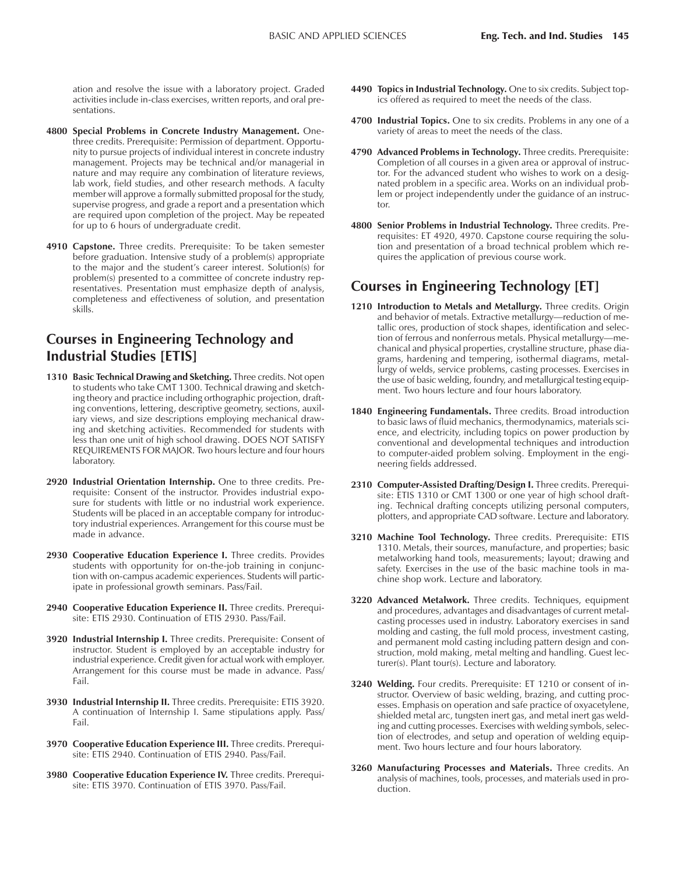ation and resolve the issue with a laboratory project. Graded activities include in-class exercises, written reports, and oral presentations.

- **4800 Special Problems in Concrete Industry Management.** Onethree credits. Prerequisite: Permission of department. Opportunity to pursue projects of individual interest in concrete industry management. Projects may be technical and/or managerial in nature and may require any combination of literature reviews, lab work, field studies, and other research methods. A faculty member will approve a formally submitted proposal for the study, supervise progress, and grade a report and a presentation which are required upon completion of the project. May be repeated for up to 6 hours of undergraduate credit.
- **4910 Capstone.** Three credits. Prerequisite: To be taken semester before graduation. Intensive study of a problem(s) appropriate to the major and the student's career interest. Solution(s) for problem(s) presented to a committee of concrete industry representatives. Presentation must emphasize depth of analysis, completeness and effectiveness of solution, and presentation skills.

# **Courses in Engineering Technology and Industrial Studies [ETIS]**

- **1310 Basic Technical Drawing and Sketching.** Three credits. Not open to students who take CMT 1300. Technical drawing and sketching theory and practice including orthographic projection, drafting conventions, lettering, descriptive geometry, sections, auxiliary views, and size descriptions employing mechanical drawing and sketching activities. Recommended for students with less than one unit of high school drawing. DOES NOT SATISFY REQUIREMENTS FOR MAJOR. Two hours lecture and four hours laboratory.
- **2920 Industrial Orientation Internship.** One to three credits. Prerequisite: Consent of the instructor. Provides industrial exposure for students with little or no industrial work experience. Students will be placed in an acceptable company for introductory industrial experiences. Arrangement for this course must be made in advance.
- **2930 Cooperative Education Experience I.** Three credits. Provides students with opportunity for on-the-job training in conjunction with on-campus academic experiences. Students will participate in professional growth seminars. Pass/Fail.
- **2940 Cooperative Education Experience II.** Three credits. Prerequisite: ETIS 2930. Continuation of ETIS 2930. Pass/Fail.
- **3920 Industrial Internship I.** Three credits. Prerequisite: Consent of instructor. Student is employed by an acceptable industry for industrial experience. Credit given for actual work with employer. Arrangement for this course must be made in advance. Pass/ Fail.
- **3930 Industrial Internship II.** Three credits. Prerequisite: ETIS 3920. A continuation of Internship I. Same stipulations apply. Pass/ Fail.
- **3970 Cooperative Education Experience III.** Three credits. Prerequisite: ETIS 2940. Continuation of ETIS 2940. Pass/Fail.
- **3980 Cooperative Education Experience IV.** Three credits. Prerequisite: ETIS 3970. Continuation of ETIS 3970. Pass/Fail.
- **4490 Topics in Industrial Technology.** One to six credits. Subject topics offered as required to meet the needs of the class.
- **4700 Industrial Topics.** One to six credits. Problems in any one of a variety of areas to meet the needs of the class.
- **4790 Advanced Problems in Technology.** Three credits. Prerequisite: Completion of all courses in a given area or approval of instructor. For the advanced student who wishes to work on a designated problem in a specific area. Works on an individual problem or project independently under the guidance of an instructor.
- **4800 Senior Problems in Industrial Technology.** Three credits. Prerequisites: ET 4920, 4970. Capstone course requiring the solution and presentation of a broad technical problem which requires the application of previous course work.

# **Courses in Engineering Technology [ET]**

- **1210 Introduction to Metals and Metallurgy.** Three credits. Origin and behavior of metals. Extractive metallurgy—reduction of metallic ores, production of stock shapes, identification and selection of ferrous and nonferrous metals. Physical metallurgy-mechanical and physical properties, crystalline structure, phase diagrams, hardening and tempering, isothermal diagrams, metallurgy of welds, service problems, casting processes. Exercises in the use of basic welding, foundry, and metallurgical testing equipment. Two hours lecture and four hours laboratory.
- **1840 Engineering Fundamentals.** Three credits. Broad introduction to basic laws of fluid mechanics, thermodynamics, materials science, and electricity, including topics on power production by conventional and developmental techniques and introduction to computer-aided problem solving. Employment in the engineering fields addressed.
- **2310 Computer-Assisted Drafting/Design I.** Three credits. Prerequisite: ETIS 1310 or CMT 1300 or one year of high school drafting. Technical drafting concepts utilizing personal computers, plotters, and appropriate CAD software. Lecture and laboratory.
- **3210 Machine Tool Technology.** Three credits. Prerequisite: ETIS 1310. Metals, their sources, manufacture, and properties; basic metalworking hand tools, measurements; layout; drawing and safety. Exercises in the use of the basic machine tools in machine shop work. Lecture and laboratory.
- **3220 Advanced Metalwork.** Three credits. Techniques, equipment and procedures, advantages and disadvantages of current metalcasting processes used in industry. Laboratory exercises in sand molding and casting, the full mold process, investment casting, and permanent mold casting including pattern design and construction, mold making, metal melting and handling. Guest lecturer(s). Plant tour(s). Lecture and laboratory.
- **3240 Welding.** Four credits. Prerequisite: ET 1210 or consent of instructor. Overview of basic welding, brazing, and cutting processes. Emphasis on operation and safe practice of oxyacetylene, shielded metal arc, tungsten inert gas, and metal inert gas welding and cutting processes. Exercises with welding symbols, selection of electrodes, and setup and operation of welding equipment. Two hours lecture and four hours laboratory.
- **3260 Manufacturing Processes and Materials.** Three credits. An analysis of machines, tools, processes, and materials used in production.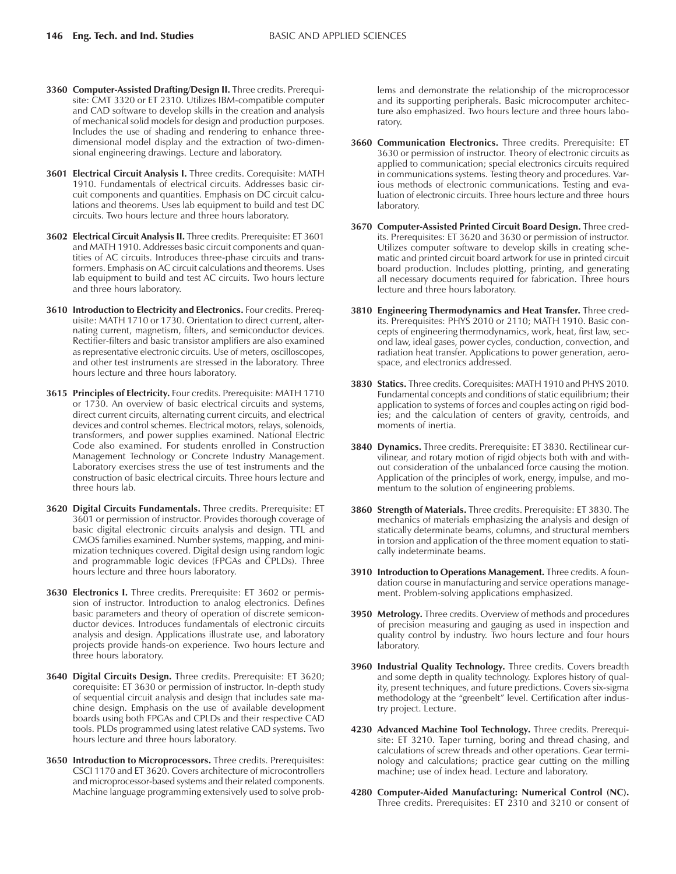- **3360 Computer-Assisted Drafting/Design II.** Three credits. Prerequisite: CMT 3320 or ET 2310. Utilizes IBM-compatible computer and CAD software to develop skills in the creation and analysis of mechanical solid models for design and production purposes. Includes the use of shading and rendering to enhance threedimensional model display and the extraction of two-dimensional engineering drawings. Lecture and laboratory.
- **3601 Electrical Circuit Analysis I.** Three credits. Corequisite: MATH 1910. Fundamentals of electrical circuits. Addresses basic circuit components and quantities. Emphasis on DC circuit calculations and theorems. Uses lab equipment to build and test DC circuits. Two hours lecture and three hours laboratory.
- **3602 Electrical Circuit Analysis II.** Three credits. Prerequisite: ET 3601 and MATH 1910. Addresses basic circuit components and quantities of AC circuits. Introduces three-phase circuits and transformers. Emphasis on AC circuit calculations and theorems. Uses lab equipment to build and test AC circuits. Two hours lecture and three hours laboratory.
- **3610 Introduction to Electricity and Electronics.** Four credits. Prerequisite: MATH 1710 or 1730. Orientation to direct current, alternating current, magnetism, filters, and semiconductor devices. Rectifier-filters and basic transistor amplifiers are also examined as representative electronic circuits. Use of meters, oscilloscopes, and other test instruments are stressed in the laboratory. Three hours lecture and three hours laboratory.
- **3615 Principles of Electricity.** Four credits. Prerequisite: MATH 1710 or 1730. An overview of basic electrical circuits and systems, direct current circuits, alternating current circuits, and electrical devices and control schemes. Electrical motors, relays, solenoids, transformers, and power supplies examined. National Electric Code also examined. For students enrolled in Construction Management Technology or Concrete Industry Management. Laboratory exercises stress the use of test instruments and the construction of basic electrical circuits. Three hours lecture and three hours lab.
- **3620 Digital Circuits Fundamentals.** Three credits. Prerequisite: ET 3601 or permission of instructor. Provides thorough coverage of basic digital electronic circuits analysis and design. TTL and CMOS families examined. Number systems, mapping, and minimization techniques covered. Digital design using random logic and programmable logic devices (FPGAs and CPLDs). Three hours lecture and three hours laboratory.
- 3630 Electronics I. Three credits. Prerequisite: ET 3602 or permission of instructor. Introduction to analog electronics. Defines basic parameters and theory of operation of discrete semiconductor devices. Introduces fundamentals of electronic circuits analysis and design. Applications illustrate use, and laboratory projects provide hands-on experience. Two hours lecture and three hours laboratory.
- **3640 Digital Circuits Design.** Three credits. Prerequisite: ET 3620; corequisite: ET 3630 or permission of instructor. In-depth study of sequential circuit analysis and design that includes sate machine design. Emphasis on the use of available development boards using both FPGAs and CPLDs and their respective CAD tools. PLDs programmed using latest relative CAD systems. Two hours lecture and three hours laboratory.
- **3650 Introduction to Microprocessors.** Three credits. Prerequisites: CSCI 1170 and ET 3620. Covers architecture of microcontrollers and microprocessor-based systems and their related components. Machine language programming extensively used to solve prob-

lems and demonstrate the relationship of the microprocessor and its supporting peripherals. Basic microcomputer architecture also emphasized. Two hours lecture and three hours laboratory.

- **3660 Communication Electronics.** Three credits. Prerequisite: ET 3630 or permission of instructor. Theory of electronic circuits as applied to communication; special electronics circuits required in communications systems. Testing theory and procedures. Various methods of electronic communications. Testing and evaluation of electronic circuits. Three hours lecture and three hours laboratory.
- **3670 Computer-Assisted Printed Circuit Board Design.** Three credits. Prerequisites: ET 3620 and 3630 or permission of instructor. Utilizes computer software to develop skills in creating schematic and printed circuit board artwork for use in printed circuit board production. Includes plotting, printing, and generating all necessary documents required for fabrication. Three hours lecture and three hours laboratory.
- **3810 Engineering Thermodynamics and Heat Transfer.** Three credits. Prerequisites: PHYS 2010 or 2110; MATH 1910. Basic concepts of engineering thermodynamics, work, heat, first law, second law, ideal gases, power cycles, conduction, convection, and radiation heat transfer. Applications to power generation, aerospace, and electronics addressed.
- **3830 Statics.** Three credits. Corequisites: MATH 1910 and PHYS 2010. Fundamental concepts and conditions of static equilibrium; their application to systems of forces and couples acting on rigid bodies; and the calculation of centers of gravity, centroids, and moments of inertia.
- **3840 Dynamics.** Three credits. Prerequisite: ET 3830. Rectilinear curvilinear, and rotary motion of rigid objects both with and without consideration of the unbalanced force causing the motion. Application of the principles of work, energy, impulse, and momentum to the solution of engineering problems.
- **3860 Strength of Materials.** Three credits. Prerequisite: ET 3830. The mechanics of materials emphasizing the analysis and design of statically determinate beams, columns, and structural members in torsion and application of the three moment equation to statically indeterminate beams.
- **3910 Introduction to Operations Management.** Three credits. A foundation course in manufacturing and service operations management. Problem-solving applications emphasized.
- **3950 Metrology.** Three credits. Overview of methods and procedures of precision measuring and gauging as used in inspection and quality control by industry. Two hours lecture and four hours laboratory.
- **3960 Industrial Quality Technology.** Three credits. Covers breadth and some depth in quality technology. Explores history of quality, present techniques, and future predictions. Covers six-sigma methodology at the "greenbelt" level. Certification after industry project. Lecture.
- **4230 Advanced Machine Tool Technology.** Three credits. Prerequisite: ET 3210. Taper turning, boring and thread chasing, and calculations of screw threads and other operations. Gear terminology and calculations; practice gear cutting on the milling machine; use of index head. Lecture and laboratory.
- **4280 Computer-Aided Manufacturing: Numerical Control (NC).** Three credits. Prerequisites: ET 2310 and 3210 or consent of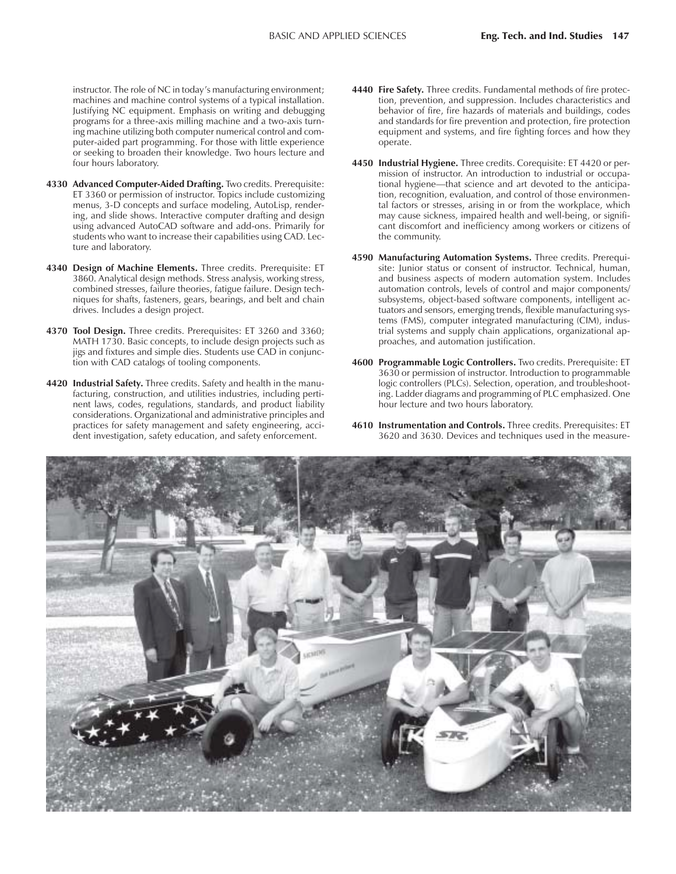instructor. The role of NC in today's manufacturing environment; machines and machine control systems of a typical installation. Justifying NC equipment. Emphasis on writing and debugging programs for a three-axis milling machine and a two-axis turning machine utilizing both computer numerical control and computer-aided part programming. For those with little experience or seeking to broaden their knowledge. Two hours lecture and four hours laboratory.

- **4330 Advanced Computer-Aided Drafting.** Two credits. Prerequisite: ET 3360 or permission of instructor. Topics include customizing menus, 3-D concepts and surface modeling, AutoLisp, rendering, and slide shows. Interactive computer drafting and design using advanced AutoCAD software and add-ons. Primarily for students who want to increase their capabilities using CAD. Lecture and laboratory.
- **4340 Design of Machine Elements.** Three credits. Prerequisite: ET 3860. Analytical design methods. Stress analysis, working stress, combined stresses, failure theories, fatigue failure. Design techniques for shafts, fasteners, gears, bearings, and belt and chain drives. Includes a design project.
- **4370 Tool Design.** Three credits. Prerequisites: ET 3260 and 3360; MATH 1730. Basic concepts, to include design projects such as jigs and fixtures and simple dies. Students use CAD in conjunction with CAD catalogs of tooling components.
- **4420 Industrial Safety.** Three credits. Safety and health in the manufacturing, construction, and utilities industries, including pertinent laws, codes, regulations, standards, and product liability considerations. Organizational and administrative principles and practices for safety management and safety engineering, accident investigation, safety education, and safety enforcement.
- **4440 Fire Safety.** Three credits. Fundamental methods of fire protection, prevention, and suppression. Includes characteristics and behavior of fire, fire hazards of materials and buildings, codes and standards for fire prevention and protection, fire protection equipment and systems, and fire fighting forces and how they operate.
- **4450 Industrial Hygiene.** Three credits. Corequisite: ET 4420 or permission of instructor. An introduction to industrial or occupational hygiene—that science and art devoted to the anticipation, recognition, evaluation, and control of those environmental factors or stresses, arising in or from the workplace, which may cause sickness, impaired health and well-being, or significant discomfort and inefficiency among workers or citizens of the community.
- **4590 Manufacturing Automation Systems.** Three credits. Prerequisite: Junior status or consent of instructor. Technical, human, and business aspects of modern automation system. Includes automation controls, levels of control and major components/ subsystems, object-based software components, intelligent actuators and sensors, emerging trends, flexible manufacturing systems (FMS), computer integrated manufacturing (CIM), industrial systems and supply chain applications, organizational approaches, and automation justification.
- **4600 Programmable Logic Controllers.** Two credits. Prerequisite: ET 3630 or permission of instructor. Introduction to programmable logic controllers (PLCs). Selection, operation, and troubleshooting. Ladder diagrams and programming of PLC emphasized. One hour lecture and two hours laboratory.
- **4610 Instrumentation and Controls.** Three credits. Prerequisites: ET 3620 and 3630. Devices and techniques used in the measure-

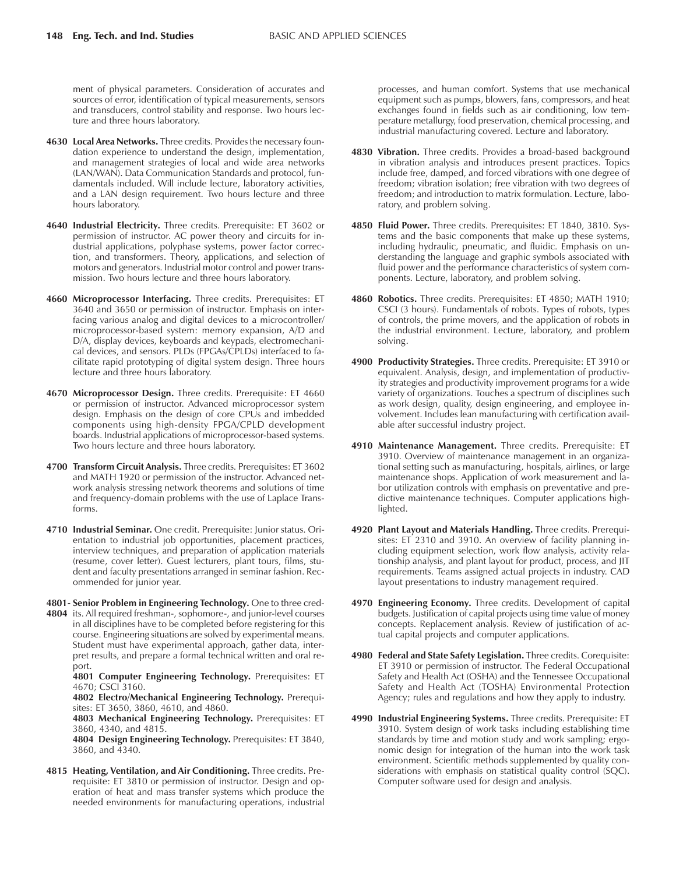ment of physical parameters. Consideration of accurates and sources of error, identification of typical measurements, sensors and transducers, control stability and response. Two hours lecture and three hours laboratory.

- **4630 Local Area Networks.** Three credits. Provides the necessary foundation experience to understand the design, implementation, and management strategies of local and wide area networks (LAN/WAN). Data Communication Standards and protocol, fundamentals included. Will include lecture, laboratory activities, and a LAN design requirement. Two hours lecture and three hours laboratory.
- **4640 Industrial Electricity.** Three credits. Prerequisite: ET 3602 or permission of instructor. AC power theory and circuits for industrial applications, polyphase systems, power factor correction, and transformers. Theory, applications, and selection of motors and generators. Industrial motor control and power transmission. Two hours lecture and three hours laboratory.
- **4660 Microprocessor Interfacing.** Three credits. Prerequisites: ET 3640 and 3650 or permission of instructor. Emphasis on interfacing various analog and digital devices to a microcontroller/ microprocessor-based system: memory expansion, A/D and D/A, display devices, keyboards and keypads, electromechanical devices, and sensors. PLDs (FPGAs/CPLDs) interfaced to facilitate rapid prototyping of digital system design. Three hours lecture and three hours laboratory.
- **4670 Microprocessor Design.** Three credits. Prerequisite: ET 4660 or permission of instructor. Advanced microprocessor system design. Emphasis on the design of core CPUs and imbedded components using high-density FPGA/CPLD development boards. Industrial applications of microprocessor-based systems. Two hours lecture and three hours laboratory.
- **4700 Transform Circuit Analysis.** Three credits. Prerequisites: ET 3602 and MATH 1920 or permission of the instructor. Advanced network analysis stressing network theorems and solutions of time and frequency-domain problems with the use of Laplace Transforms.
- **4710 Industrial Seminar.** One credit. Prerequisite: Junior status. Orientation to industrial job opportunities, placement practices, interview techniques, and preparation of application materials (resume, cover letter). Guest lecturers, plant tours, films, student and faculty presentations arranged in seminar fashion. Recommended for junior year.
- **4801- Senior Problem in Engineering Technology.** One to three cred-**4804** its. All required freshman-, sophomore-, and junior-level courses in all disciplines have to be completed before registering for this course. Engineering situations are solved by experimental means. Student must have experimental approach, gather data, interpret results, and prepare a formal technical written and oral report.

**4801 Computer Engineering Technology.** Prerequisites: ET 4670; CSCI 3160.

**4802 Electro/Mechanical Engineering Technology.** Prerequisites: ET 3650, 3860, 4610, and 4860.

**4803 Mechanical Engineering Technology.** Prerequisites: ET 3860, 4340, and 4815.

**4804 Design Engineering Technology.** Prerequisites: ET 3840, 3860, and 4340.

**4815 Heating, Ventilation, and Air Conditioning.** Three credits. Prerequisite: ET 3810 or permission of instructor. Design and operation of heat and mass transfer systems which produce the needed environments for manufacturing operations, industrial processes, and human comfort. Systems that use mechanical equipment such as pumps, blowers, fans, compressors, and heat exchanges found in fields such as air conditioning, low temperature metallurgy, food preservation, chemical processing, and industrial manufacturing covered. Lecture and laboratory.

- **4830 Vibration.** Three credits. Provides a broad-based background in vibration analysis and introduces present practices. Topics include free, damped, and forced vibrations with one degree of freedom; vibration isolation; free vibration with two degrees of freedom; and introduction to matrix formulation. Lecture, laboratory, and problem solving.
- **4850 Fluid Power.** Three credits. Prerequisites: ET 1840, 3810. Systems and the basic components that make up these systems, including hydraulic, pneumatic, and fluidic. Emphasis on understanding the language and graphic symbols associated with fluid power and the performance characteristics of system components. Lecture, laboratory, and problem solving.
- **4860 Robotics.** Three credits. Prerequisites: ET 4850; MATH 1910; CSCI (3 hours). Fundamentals of robots. Types of robots, types of controls, the prime movers, and the application of robots in the industrial environment. Lecture, laboratory, and problem solving.
- **4900 Productivity Strategies.** Three credits. Prerequisite: ET 3910 or equivalent. Analysis, design, and implementation of productivity strategies and productivity improvement programs for a wide variety of organizations. Touches a spectrum of disciplines such as work design, quality, design engineering, and employee involvement. Includes lean manufacturing with certification available after successful industry project.
- **4910 Maintenance Management.** Three credits. Prerequisite: ET 3910. Overview of maintenance management in an organizational setting such as manufacturing, hospitals, airlines, or large maintenance shops. Application of work measurement and labor utilization controls with emphasis on preventative and predictive maintenance techniques. Computer applications highlighted.
- **4920 Plant Layout and Materials Handling.** Three credits. Prerequisites: ET 2310 and 3910. An overview of facility planning including equipment selection, work flow analysis, activity relationship analysis, and plant layout for product, process, and JIT requirements. Teams assigned actual projects in industry. CAD layout presentations to industry management required.
- **4970 Engineering Economy.** Three credits. Development of capital budgets. Justification of capital projects using time value of money concepts. Replacement analysis. Review of justification of actual capital projects and computer applications.
- **4980 Federal and State Safety Legislation.** Three credits. Corequisite: ET 3910 or permission of instructor. The Federal Occupational Safety and Health Act (OSHA) and the Tennessee Occupational Safety and Health Act (TOSHA) Environmental Protection Agency; rules and regulations and how they apply to industry.
- **4990 Industrial Engineering Systems.** Three credits. Prerequisite: ET 3910. System design of work tasks including establishing time standards by time and motion study and work sampling; ergonomic design for integration of the human into the work task environment. Scientific methods supplemented by quality considerations with emphasis on statistical quality control (SQC). Computer software used for design and analysis.